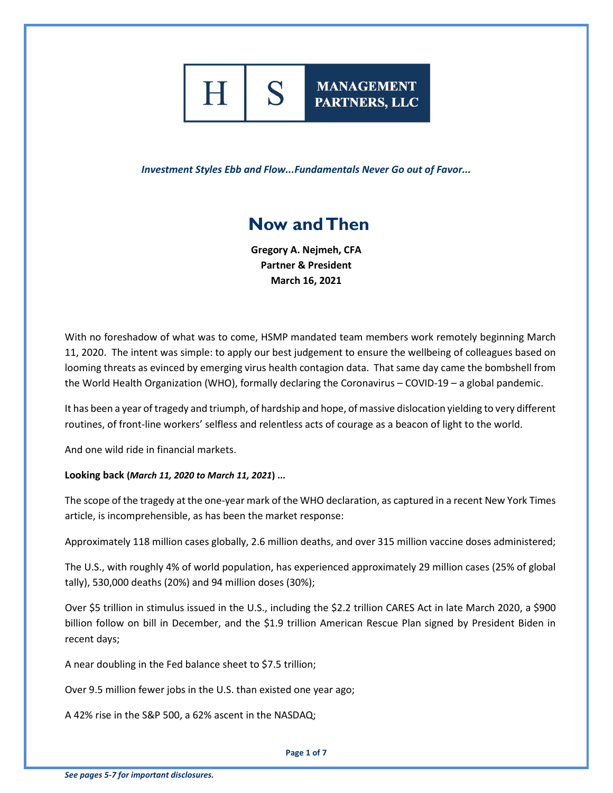

# **MANAGEMENT** PARTNERS, LLC

*Investment Styles Ebb and Flow...Fundamentals Never Go out of Favor...*

# **Now and Then**

**Gregory A. Nejmeh, CFA Partner & President March 16, 2021**

With no foreshadow of what was to come, HSMP mandated team members work remotely beginning March 11, 2020. The intent was simple: to apply our best judgement to ensure the wellbeing of colleagues based on looming threats as evinced by emerging virus health contagion data. That same day came the bombshell from the World Health Organization (WHO), formally declaring the Coronavirus – COVID-19 – a global pandemic.

It has been a year of tragedy and triumph, of hardship and hope, of massive dislocation yielding to very different routines, of front-line workers' selfless and relentless acts of courage as a beacon of light to the world.

And one wild ride in financial markets.

## **Looking back (***March 11, 2020 to March 11, 2021***) ...**

The scope of the tragedy at the one-year mark of the WHO declaration, as captured in a recent New York Times article, is incomprehensible, as has been the market response:

Approximately 118 million cases globally, 2.6 million deaths, and over 315 million vaccine doses administered;

The U.S., with roughly 4% of world population, has experienced approximately 29 million cases (25% of global tally), 530,000 deaths (20%) and 94 million doses (30%);

Over \$5 trillion in stimulus issued in the U.S., including the \$2.2 trillion CARES Act in late March 2020, a \$900 billion follow on bill in December, and the \$1.9 trillion American Rescue Plan signed by President Biden in recent days;

A near doubling in the Fed balance sheet to \$7.5 trillion;

Over 9.5 million fewer jobs in the U.S. than existed one year ago;

A 42% rise in the S&P 500, a 62% ascent in the NASDAQ;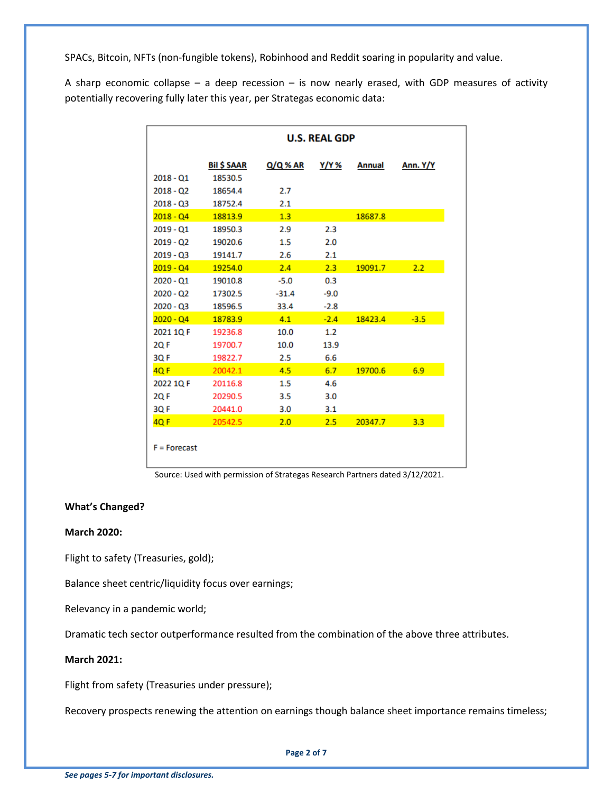SPACs, Bitcoin, NFTs (non-fungible tokens), Robinhood and Reddit soaring in popularity and value.

A sharp economic collapse – a deep recession – is now nearly erased, with GDP measures of activity potentially recovering fully later this year, per Strategas economic data:

|                | <b>U.S. REAL GDP</b> |          |        |               |          |  |  |  |
|----------------|----------------------|----------|--------|---------------|----------|--|--|--|
|                | <b>Bil \$ SAAR</b>   | Q/Q % AR | Y/Y %  | <b>Annual</b> | Ann. Y/Y |  |  |  |
| $2018 - Q1$    | 18530.5              |          |        |               |          |  |  |  |
| $2018 - Q2$    | 18654.4              | 2.7      |        |               |          |  |  |  |
| $2018 - 03$    | 18752.4              | 2.1      |        |               |          |  |  |  |
| $2018 - Q4$    | 18813.9              | 1.3      |        | 18687.8       |          |  |  |  |
| $2019 - Q1$    | 18950.3              | 2.9      | 2.3    |               |          |  |  |  |
| $2019 - Q2$    | 19020.6              | 1.5      | 2.0    |               |          |  |  |  |
| $2019 - Q3$    | 19141.7              | 2.6      | 2.1    |               |          |  |  |  |
| $2019 - Q4$    | 19254.0              | 2.4      | 2.3    | 19091.7       | 2.2      |  |  |  |
| $2020 - Q1$    | 19010.8              | $-5.0$   | 0.3    |               |          |  |  |  |
| $2020 - Q2$    | 17302.5              | $-31.4$  | $-9.0$ |               |          |  |  |  |
| $2020 - 03$    | 18596.5              | 33.4     | $-2.8$ |               |          |  |  |  |
| $2020 - Q4$    | 18783.9              | 4.1      | $-2.4$ | 18423.4       | $-3.5$   |  |  |  |
| 2021 1Q F      | 19236.8              | 10.0     | 1.2    |               |          |  |  |  |
| 2Q F           | 19700.7              | 10.0     | 13.9   |               |          |  |  |  |
| 3QF            | 19822.7              | 2.5      | 6.6    |               |          |  |  |  |
| 4Q F           | 20042.1              | 4.5      | 6.7    | 19700.6       | 6.9      |  |  |  |
| 2022 1Q F      | 20116.8              | $1.5\,$  | 4.6    |               |          |  |  |  |
| <b>2QF</b>     | 20290.5              | 3.5      | 3.0    |               |          |  |  |  |
| 3QF            | 20441.0              | 3.0      | 3.1    |               |          |  |  |  |
| <b>4QF</b>     | 20542.5              | 2.0      | 2.5    | 20347.7       | 3.3      |  |  |  |
| $F =$ Forecast |                      |          |        |               |          |  |  |  |

Source: Used with permission of Strategas Research Partners dated 3/12/2021.

#### **What's Changed?**

#### **March 2020:**

Flight to safety (Treasuries, gold);

Balance sheet centric/liquidity focus over earnings;

Relevancy in a pandemic world;

Dramatic tech sector outperformance resulted from the combination of the above three attributes.

## **March 2021:**

Flight from safety (Treasuries under pressure);

Recovery prospects renewing the attention on earnings though balance sheet importance remains timeless;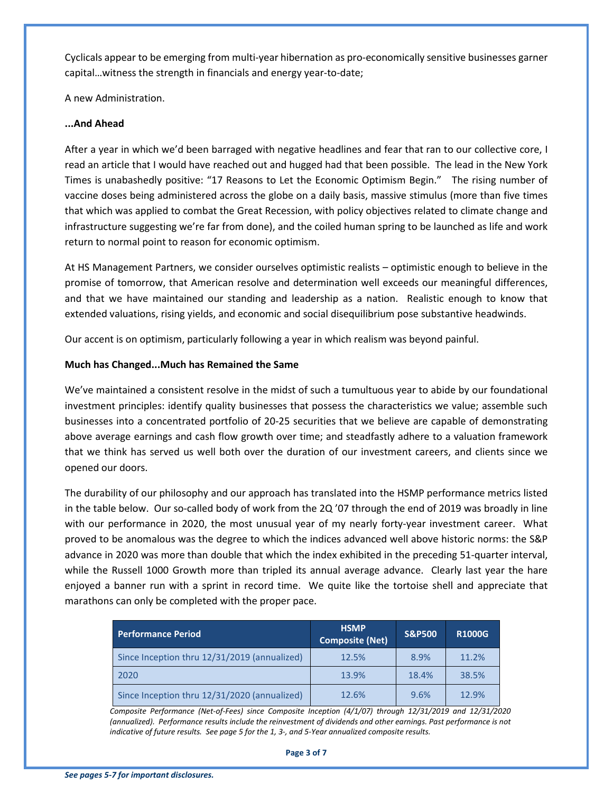Cyclicals appear to be emerging from multi-year hibernation as pro-economically sensitive businesses garner capital…witness the strength in financials and energy year-to-date;

A new Administration.

#### **...And Ahead**

After a year in which we'd been barraged with negative headlines and fear that ran to our collective core, I read an article that I would have reached out and hugged had that been possible. The lead in the New York Times is unabashedly positive: "17 Reasons to Let the Economic Optimism Begin." The rising number of vaccine doses being administered across the globe on a daily basis, massive stimulus (more than five times that which was applied to combat the Great Recession, with policy objectives related to climate change and infrastructure suggesting we're far from done), and the coiled human spring to be launched as life and work return to normal point to reason for economic optimism.

At HS Management Partners, we consider ourselves optimistic realists – optimistic enough to believe in the promise of tomorrow, that American resolve and determination well exceeds our meaningful differences, and that we have maintained our standing and leadership as a nation. Realistic enough to know that extended valuations, rising yields, and economic and social disequilibrium pose substantive headwinds.

Our accent is on optimism, particularly following a year in which realism was beyond painful.

## **Much has Changed...Much has Remained the Same**

We've maintained a consistent resolve in the midst of such a tumultuous year to abide by our foundational investment principles: identify quality businesses that possess the characteristics we value; assemble such businesses into a concentrated portfolio of 20-25 securities that we believe are capable of demonstrating above average earnings and cash flow growth over time; and steadfastly adhere to a valuation framework that we think has served us well both over the duration of our investment careers, and clients since we opened our doors.

The durability of our philosophy and our approach has translated into the HSMP performance metrics listed in the table below. Our so-called body of work from the 2Q '07 through the end of 2019 was broadly in line with our performance in 2020, the most unusual year of my nearly forty-year investment career. What proved to be anomalous was the degree to which the indices advanced well above historic norms: the S&P advance in 2020 was more than double that which the index exhibited in the preceding 51-quarter interval, while the Russell 1000 Growth more than tripled its annual average advance. Clearly last year the hare enjoyed a banner run with a sprint in record time. We quite like the tortoise shell and appreciate that marathons can only be completed with the proper pace.

| <b>Performance Period</b>                    | <b>HSMP</b><br><b>Composite (Net)</b> | <b>S&amp;P500</b> | <b>R1000G</b> |
|----------------------------------------------|---------------------------------------|-------------------|---------------|
| Since Inception thru 12/31/2019 (annualized) | 12.5%                                 | 8.9%              | 11.2%         |
| 2020                                         | 13.9%                                 | 18.4%             | 38.5%         |
| Since Inception thru 12/31/2020 (annualized) | 12.6%                                 | 9.6%              | 12.9%         |

*Composite Performance (Net-of-Fees) since Composite Inception (4/1/07) through 12/31/2019 and 12/31/2020 (annualized). Performance results include the reinvestment of dividends and other earnings. Past performance is not indicative of future results. See page 5 for the 1, 3-, and 5-Year annualized composite results.*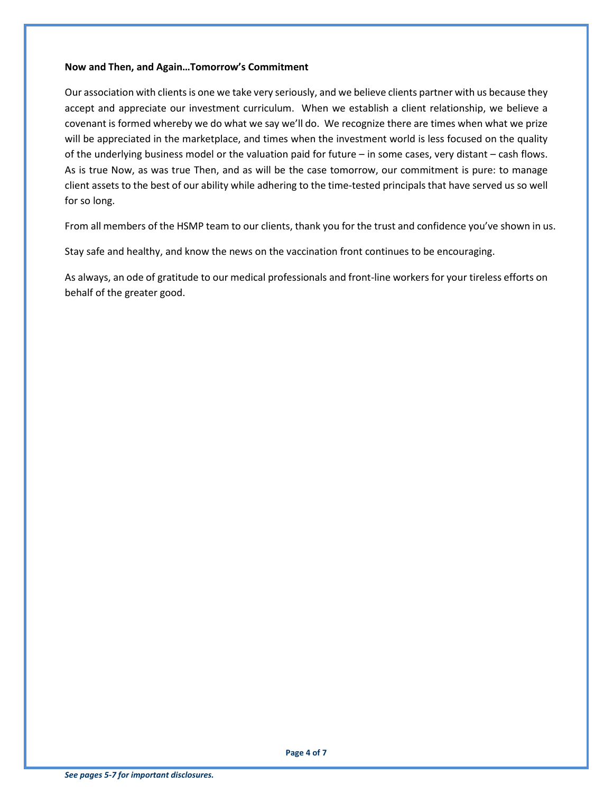#### **Now and Then, and Again…Tomorrow's Commitment**

Our association with clients is one we take very seriously, and we believe clients partner with us because they accept and appreciate our investment curriculum. When we establish a client relationship, we believe a covenant is formed whereby we do what we say we'll do. We recognize there are times when what we prize will be appreciated in the marketplace, and times when the investment world is less focused on the quality of the underlying business model or the valuation paid for future – in some cases, very distant – cash flows. As is true Now, as was true Then, and as will be the case tomorrow, our commitment is pure: to manage client assets to the best of our ability while adhering to the time-tested principals that have served us so well for so long.

From all members of the HSMP team to our clients, thank you for the trust and confidence you've shown in us.

Stay safe and healthy, and know the news on the vaccination front continues to be encouraging.

As always, an ode of gratitude to our medical professionals and front-line workers for your tireless efforts on behalf of the greater good.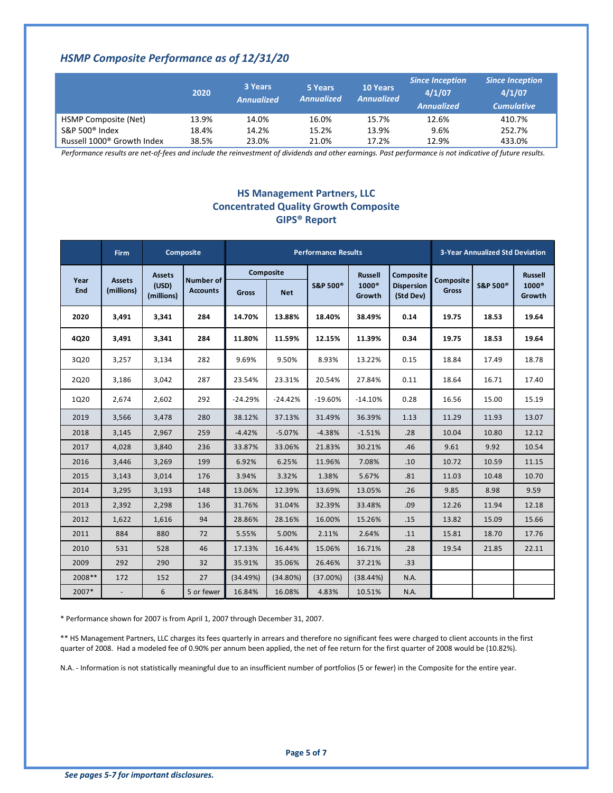# *HSMP Composite Performance as of 12/31/20*

|                                        | 2020  | 3 Years<br><b>Annualized</b> | 5 Years<br><b>Annualized</b> | <b>10 Years</b><br>Annualized | <b>Since Inception</b><br>4/1/07<br><b>Annualized</b> | <b>Since Inception</b><br>4/1/07<br><b>Cumulative</b> |
|----------------------------------------|-------|------------------------------|------------------------------|-------------------------------|-------------------------------------------------------|-------------------------------------------------------|
| HSMP Composite (Net)                   | 13.9% | 14.0%                        | 16.0%                        | 15.7%                         | 12.6%                                                 | 410.7%                                                |
| S&P 500 $^{\circ}$ Index               | 18.4% | 14.2%                        | 15.2%                        | 13.9%                         | 9.6%                                                  | 252.7%                                                |
| Russell 1000 <sup>®</sup> Growth Index | 38.5% | 23.0%                        | 21.0%                        | 17.2%                         | 12.9%                                                 | 433.0%                                                |

*Performance results are net-of-fees and include the reinvestment of dividends and other earnings. Past performance is not indicative of future results.* 

## **HS Management Partners, LLC Concentrated Quality Growth Composite GIPS® Report**

|             | <b>Firm</b>   |                                      | <b>Composite</b>             | <b>Performance Results</b> |            |                      | <b>3-Year Annualized Std Deviation</b> |                                |              |                      |                        |
|-------------|---------------|--------------------------------------|------------------------------|----------------------------|------------|----------------------|----------------------------------------|--------------------------------|--------------|----------------------|------------------------|
| Year<br>End | <b>Assets</b> | <b>Assets</b><br>(USD)<br>(millions) | Number of<br><b>Accounts</b> |                            | Composite  |                      | <b>Russell</b>                         | Composite                      | Composite    |                      | <b>Russell</b>         |
|             | (millions)    |                                      |                              | <b>Gross</b>               | <b>Net</b> | S&P 500 <sup>®</sup> | $1000^\circ$<br>Growth                 | <b>Dispersion</b><br>(Std Dev) | <b>Gross</b> | S&P 500 <sup>®</sup> | $1000^\circ$<br>Growth |
| 2020        | 3,491         | 3,341                                | 284                          | 14.70%                     | 13.88%     | 18.40%               | 38.49%                                 | 0.14                           | 19.75        | 18.53                | 19.64                  |
| 4Q20        | 3,491         | 3,341                                | 284                          | 11.80%                     | 11.59%     | 12.15%               | 11.39%                                 | 0.34                           | 19.75        | 18.53                | 19.64                  |
| 3Q20        | 3,257         | 3,134                                | 282                          | 9.69%                      | 9.50%      | 8.93%                | 13.22%                                 | 0.15                           | 18.84        | 17.49                | 18.78                  |
| 2Q20        | 3,186         | 3,042                                | 287                          | 23.54%                     | 23.31%     | 20.54%               | 27.84%                                 | 0.11                           | 18.64        | 16.71                | 17.40                  |
| 1Q20        | 2,674         | 2,602                                | 292                          | $-24.29%$                  | $-24.42%$  | $-19.60%$            | $-14.10%$                              | 0.28                           | 16.56        | 15.00                | 15.19                  |
| 2019        | 3,566         | 3,478                                | 280                          | 38.12%                     | 37.13%     | 31.49%               | 36.39%                                 | 1.13                           | 11.29        | 11.93                | 13.07                  |
| 2018        | 3,145         | 2,967                                | 259                          | $-4.42%$                   | $-5.07%$   | $-4.38%$             | $-1.51%$                               | .28                            | 10.04        | 10.80                | 12.12                  |
| 2017        | 4.028         | 3,840                                | 236                          | 33.87%                     | 33.06%     | 21.83%               | 30.21%                                 | .46                            | 9.61         | 9.92                 | 10.54                  |
| 2016        | 3.446         | 3,269                                | 199                          | 6.92%                      | 6.25%      | 11.96%               | 7.08%                                  | .10                            | 10.72        | 10.59                | 11.15                  |
| 2015        | 3,143         | 3,014                                | 176                          | 3.94%                      | 3.32%      | 1.38%                | 5.67%                                  | .81                            | 11.03        | 10.48                | 10.70                  |
| 2014        | 3,295         | 3,193                                | 148                          | 13.06%                     | 12.39%     | 13.69%               | 13.05%                                 | .26                            | 9.85         | 8.98                 | 9.59                   |
| 2013        | 2,392         | 2,298                                | 136                          | 31.76%                     | 31.04%     | 32.39%               | 33.48%                                 | .09                            | 12.26        | 11.94                | 12.18                  |
| 2012        | 1,622         | 1,616                                | 94                           | 28.86%                     | 28.16%     | 16.00%               | 15.26%                                 | .15                            | 13.82        | 15.09                | 15.66                  |
| 2011        | 884           | 880                                  | 72                           | 5.55%                      | 5.00%      | 2.11%                | 2.64%                                  | .11                            | 15.81        | 18.70                | 17.76                  |
| 2010        | 531           | 528                                  | 46                           | 17.13%                     | 16.44%     | 15.06%               | 16.71%                                 | .28                            | 19.54        | 21.85                | 22.11                  |
| 2009        | 292           | 290                                  | 32                           | 35.91%                     | 35.06%     | 26.46%               | 37.21%                                 | .33                            |              |                      |                        |
| 2008**      | 172           | 152                                  | 27                           | (34.49%)                   | (34.80%)   | (37.00%)             | (38.44%)                               | N.A.                           |              |                      |                        |
| 2007*       |               | 6                                    | 5 or fewer                   | 16.84%                     | 16.08%     | 4.83%                | 10.51%                                 | N.A.                           |              |                      |                        |

\* Performance shown for 2007 is from April 1, 2007 through December 31, 2007.

\*\* HS Management Partners, LLC charges its fees quarterly in arrears and therefore no significant fees were charged to client accounts in the first quarter of 2008. Had a modeled fee of 0.90% per annum been applied, the net of fee return for the first quarter of 2008 would be (10.82%).

N.A. - Information is not statistically meaningful due to an insufficient number of portfolios (5 or fewer) in the Composite for the entire year.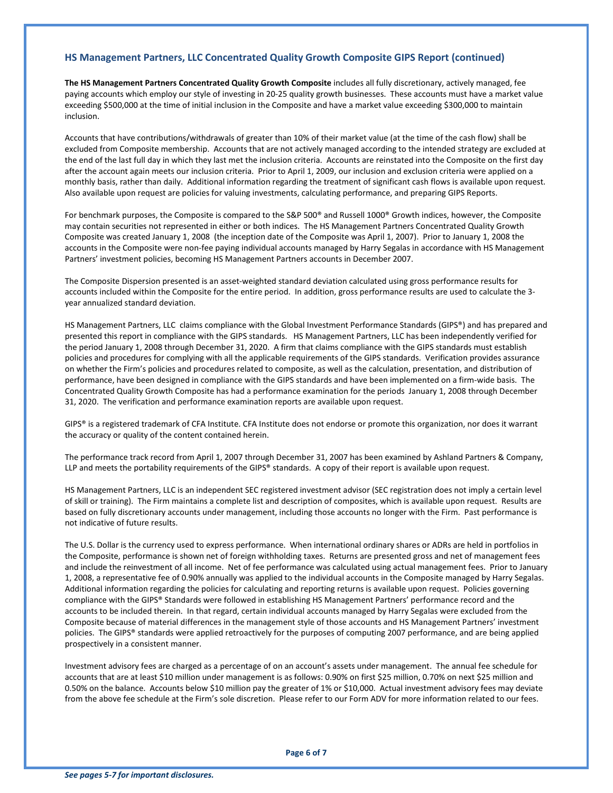#### **HS Management Partners, LLC Concentrated Quality Growth Composite GIPS Report (continued)**

**The HS Management Partners Concentrated Quality Growth Composite** includes all fully discretionary, actively managed, fee paying accounts which employ our style of investing in 20-25 quality growth businesses. These accounts must have a market value exceeding \$500,000 at the time of initial inclusion in the Composite and have a market value exceeding \$300,000 to maintain inclusion.

Accounts that have contributions/withdrawals of greater than 10% of their market value (at the time of the cash flow) shall be excluded from Composite membership. Accounts that are not actively managed according to the intended strategy are excluded at the end of the last full day in which they last met the inclusion criteria. Accounts are reinstated into the Composite on the first day after the account again meets our inclusion criteria. Prior to April 1, 2009, our inclusion and exclusion criteria were applied on a monthly basis, rather than daily. Additional information regarding the treatment of significant cash flows is available upon request. Also available upon request are policies for valuing investments, calculating performance, and preparing GIPS Reports.

For benchmark purposes, the Composite is compared to the S&P 500® and Russell 1000® Growth indices, however, the Composite may contain securities not represented in either or both indices. The HS Management Partners Concentrated Quality Growth Composite was created January 1, 2008 (the inception date of the Composite was April 1, 2007). Prior to January 1, 2008 the accounts in the Composite were non-fee paying individual accounts managed by Harry Segalas in accordance with HS Management Partners' investment policies, becoming HS Management Partners accounts in December 2007.

The Composite Dispersion presented is an asset-weighted standard deviation calculated using gross performance results for accounts included within the Composite for the entire period. In addition, gross performance results are used to calculate the 3 year annualized standard deviation.

HS Management Partners, LLC claims compliance with the Global Investment Performance Standards (GIPS®) and has prepared and presented this report in compliance with the GIPS standards. HS Management Partners, LLC has been independently verified for the period January 1, 2008 through December 31, 2020. A firm that claims compliance with the GIPS standards must establish policies and procedures for complying with all the applicable requirements of the GIPS standards. Verification provides assurance on whether the Firm's policies and procedures related to composite, as well as the calculation, presentation, and distribution of performance, have been designed in compliance with the GIPS standards and have been implemented on a firm-wide basis. The Concentrated Quality Growth Composite has had a performance examination for the periods January 1, 2008 through December 31, 2020. The verification and performance examination reports are available upon request.

GIPS® is a registered trademark of CFA Institute. CFA Institute does not endorse or promote this organization, nor does it warrant the accuracy or quality of the content contained herein.

The performance track record from April 1, 2007 through December 31, 2007 has been examined by Ashland Partners & Company, LLP and meets the portability requirements of the GIPS® standards. A copy of their report is available upon request.

HS Management Partners, LLC is an independent SEC registered investment advisor (SEC registration does not imply a certain level of skill or training). The Firm maintains a complete list and description of composites, which is available upon request. Results are based on fully discretionary accounts under management, including those accounts no longer with the Firm. Past performance is not indicative of future results.

The U.S. Dollar is the currency used to express performance. When international ordinary shares or ADRs are held in portfolios in the Composite, performance is shown net of foreign withholding taxes. Returns are presented gross and net of management fees and include the reinvestment of all income. Net of fee performance was calculated using actual management fees. Prior to January 1, 2008, a representative fee of 0.90% annually was applied to the individual accounts in the Composite managed by Harry Segalas. Additional information regarding the policies for calculating and reporting returns is available upon request. Policies governing compliance with the GIPS® Standards were followed in establishing HS Management Partners' performance record and the accounts to be included therein. In that regard, certain individual accounts managed by Harry Segalas were excluded from the Composite because of material differences in the management style of those accounts and HS Management Partners' investment policies. The GIPS® standards were applied retroactively for the purposes of computing 2007 performance, and are being applied prospectively in a consistent manner.

Investment advisory fees are charged as a percentage of on an account's assets under management. The annual fee schedule for accounts that are at least \$10 million under management is as follows: 0.90% on first \$25 million, 0.70% on next \$25 million and 0.50% on the balance. Accounts below \$10 million pay the greater of 1% or \$10,000. Actual investment advisory fees may deviate from the above fee schedule at the Firm's sole discretion. Please refer to our Form ADV for more information related to our fees.